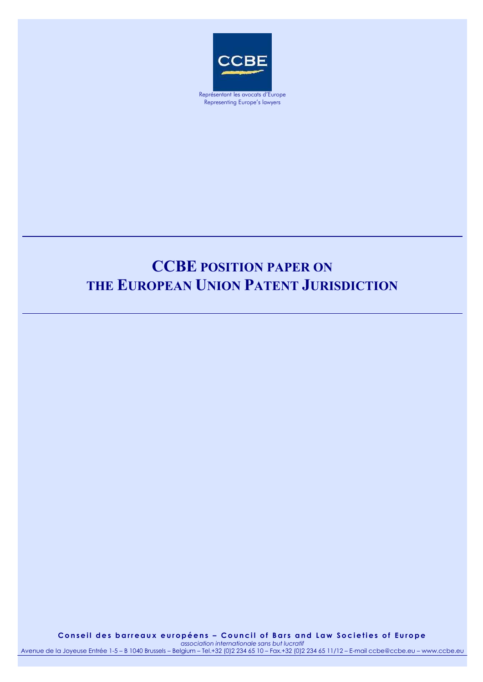

# **CCBE POSITION PAPER ON THE EUROPEAN UNION PATENT JURISDICTION**

Conseil des barreaux européens - Council of Bars and Law Societies of Europe *association internationale sans but lucratif*

Avenue de la Joyeuse Entrée 1-5 – B 1040 Brussels – Belgium – Tel.+32 (0)2 234 65 10 – Fax.+32 (0)2 234 65 11/12 – E-mail ccbe@ccbe.eu – www.ccbe.eu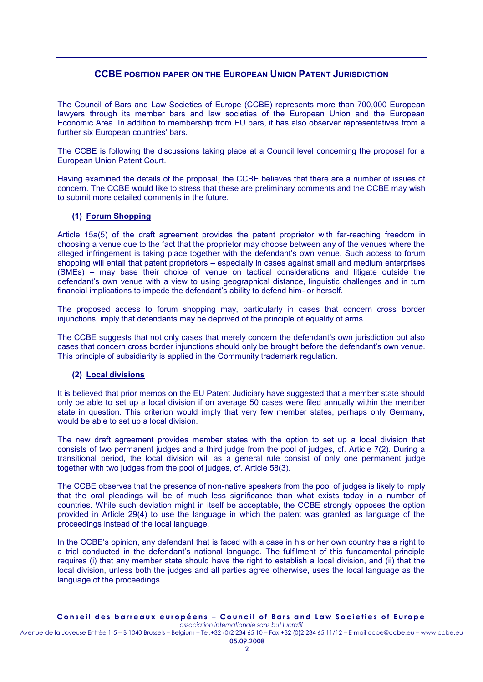## **CCBE POSITION PAPER ON THE EUROPEAN UNION PATENT JURISDICTION**

The Council of Bars and Law Societies of Europe (CCBE) represents more than 700,000 European lawyers through its member bars and law societies of the European Union and the European Economic Area. In addition to membership from EU bars, it has also observer representatives from a further six European countries' bars.

The CCBE is following the discussions taking place at a Council level concerning the proposal for a European Union Patent Court.

Having examined the details of the proposal, the CCBE believes that there are a number of issues of concern. The CCBE would like to stress that these are preliminary comments and the CCBE may wish to submit more detailed comments in the future.

## **(1) Forum Shopping**

Article 15a(5) of the draft agreement provides the patent proprietor with far-reaching freedom in choosing a venue due to the fact that the proprietor may choose between any of the venues where the alleged infringement is taking place together with the defendant's own venue. Such access to forum shopping will entail that patent proprietors – especially in cases against small and medium enterprises (SMEs) – may base their choice of venue on tactical considerations and litigate outside the defendant's own venue with a view to using geographical distance, linguistic challenges and in turn financial implications to impede the defendant's ability to defend him- or herself.

The proposed access to forum shopping may, particularly in cases that concern cross border injunctions, imply that defendants may be deprived of the principle of equality of arms.

The CCBE suggests that not only cases that merely concern the defendant's own jurisdiction but also cases that concern cross border injunctions should only be brought before the defendant's own venue. This principle of subsidiarity is applied in the Community trademark regulation.

#### **(2) Local divisions**

It is believed that prior memos on the EU Patent Judiciary have suggested that a member state should only be able to set up a local division if on average 50 cases were filed annually within the member state in question. This criterion would imply that very few member states, perhaps only Germany, would be able to set up a local division.

The new draft agreement provides member states with the option to set up a local division that consists of two permanent judges and a third judge from the pool of judges, cf. Article 7(2). During a transitional period, the local division will as a general rule consist of only one permanent judge together with two judges from the pool of judges, cf. Article 58(3).

The CCBE observes that the presence of non-native speakers from the pool of judges is likely to imply that the oral pleadings will be of much less significance than what exists today in a number of countries. While such deviation might in itself be acceptable, the CCBE strongly opposes the option provided in Article 29(4) to use the language in which the patent was granted as language of the proceedings instead of the local language.

In the CCBE's opinion, any defendant that is faced with a case in his or her own country has a right to a trial conducted in the defendant's national language. The fulfilment of this fundamental principle requires (i) that any member state should have the right to establish a local division, and (ii) that the local division, unless both the judges and all parties agree otherwise, uses the local language as the language of the proceedings.

#### Conseil des barreaux européens - Council of Bars and Law Societies of Europe *association internationale sans but lucratif*

Avenue de la Joyeuse Entrée 1-5 – B 1040 Brussels – Belgium – Tel.+32 (0)2 234 65 10 – Fax.+32 (0)2 234 65 11/12 – E-mail ccbe@ccbe.eu – www.ccbe.eu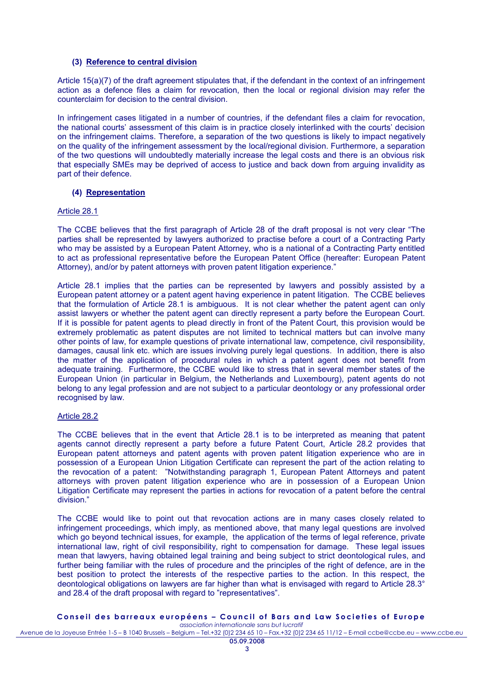### **(3) Reference to central division**

Article 15(a)(7) of the draft agreement stipulates that, if the defendant in the context of an infringement action as a defence files a claim for revocation, then the local or regional division may refer the counterclaim for decision to the central division.

In infringement cases litigated in a number of countries, if the defendant files a claim for revocation, the national courts' assessment of this claim is in practice closely interlinked with the courts' decision on the infringement claims. Therefore, a separation of the two questions is likely to impact negatively on the quality of the infringement assessment by the local/regional division. Furthermore, a separation of the two questions will undoubtedly materially increase the legal costs and there is an obvious risk that especially SMEs may be deprived of access to justice and back down from arguing invalidity as part of their defence.

### **(4) Representation**

#### Article 28.1

The CCBE believes that the first paragraph of Article 28 of the draft proposal is not very clear "The parties shall be represented by lawyers authorized to practise before a court of a Contracting Party who may be assisted by a European Patent Attorney, who is a national of a Contracting Party entitled to act as professional representative before the European Patent Office (hereafter: European Patent Attorney), and/or by patent attorneys with proven patent litigation experience."

Article 28.1 implies that the parties can be represented by lawyers and possibly assisted by a European patent attorney or a patent agent having experience in patent litigation. The CCBE believes that the formulation of Article 28.1 is ambiguous. It is not clear whether the patent agent can only assist lawyers or whether the patent agent can directly represent a party before the European Court. If it is possible for patent agents to plead directly in front of the Patent Court, this provision would be extremely problematic as patent disputes are not limited to technical matters but can involve many other points of law, for example questions of private international law, competence, civil responsibility, damages, causal link etc. which are issues involving purely legal questions. In addition, there is also the matter of the application of procedural rules in which a patent agent does not benefit from adequate training. Furthermore, the CCBE would like to stress that in several member states of the European Union (in particular in Belgium, the Netherlands and Luxembourg), patent agents do not belong to any legal profession and are not subject to a particular deontology or any professional order recognised by law.

#### Article 28.2

The CCBE believes that in the event that Article 28.1 is to be interpreted as meaning that patent agents cannot directly represent a party before a future Patent Court, Article 28.2 provides that European patent attorneys and patent agents with proven patent litigation experience who are in possession of a European Union Litigation Certificate can represent the part of the action relating to the revocation of a patent: "Notwithstanding paragraph 1, European Patent Attorneys and patent attorneys with proven patent litigation experience who are in possession of a European Union Litigation Certificate may represent the parties in actions for revocation of a patent before the central division."

The CCBE would like to point out that revocation actions are in many cases closely related to infringement proceedings, which imply, as mentioned above, that many legal questions are involved which go beyond technical issues, for example, the application of the terms of legal reference, private international law, right of civil responsibility, right to compensation for damage. These legal issues mean that lawyers, having obtained legal training and being subject to strict deontological rules, and further being familiar with the rules of procedure and the principles of the right of defence, are in the best position to protect the interests of the respective parties to the action. In this respect, the deontological obligations on lawyers are far higher than what is envisaged with regard to Article 28.3° and 28.4 of the draft proposal with regard to "representatives".

#### **C o n s e i l d e s b a r r e a u x e u r o p é e n s – C o u n c i l o f B a r s a n d L a w S o c i e t i e s o f E u r o p e** *association internationale sans but lucratif*

Avenue de la Joyeuse Entrée 1-5 – B 1040 Brussels – Belgium – Tel.+32 (0)2 234 65 10 – Fax.+32 (0)2 234 65 11/12 – E-mail ccbe@ccbe.eu – www.ccbe.eu